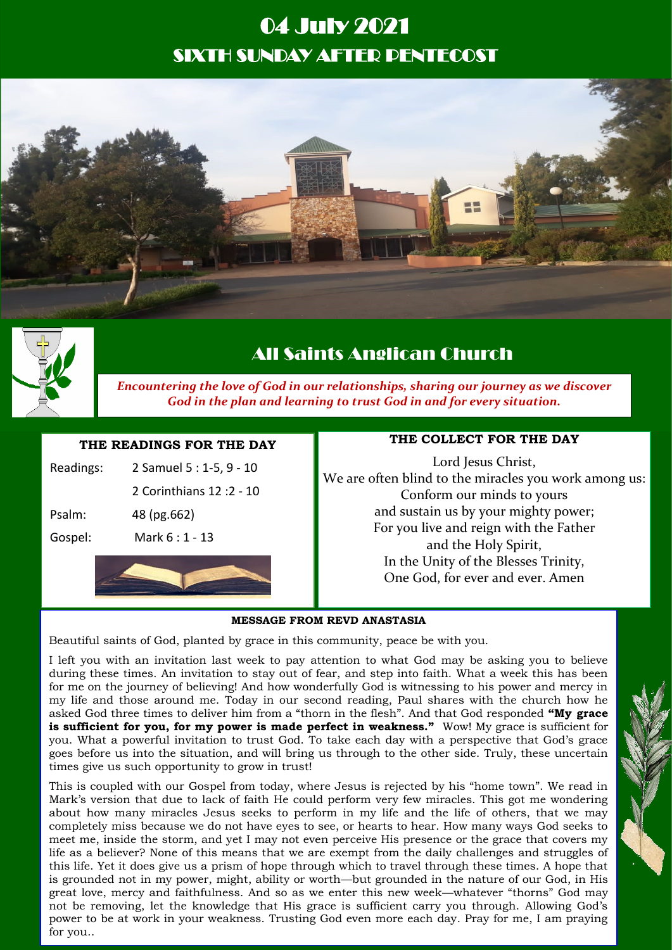# 04 July 2021 SIXTH SUNDAY AFTER PENTECOST





# All Saints Anglican Church

*Encountering the love of God in our relationships, sharing our journey as we discover God in the plan and learning to trust God in and for every situation.*

# **THE READINGS FOR THE DAY**

|         | 2 Corinthians 12: 2 - 10 |
|---------|--------------------------|
| Psalm:  | 48 (pg.662)              |
| Gospel: | Mark 6 : 1 - 13          |
|         |                          |

# **THE COLLECT FOR THE DAY**

Lord Jesus Christ, We are often blind to the miracles you work among us: Conform our minds to yours and sustain us by your mighty power; For you live and reign with the Father and the Holy Spirit, In the Unity of the Blesses Trinity, One God, for ever and ever. Amen

#### **MESSAGE FROM REVD ANASTASIA**

Beautiful saints of God, planted by grace in this community, peace be with you.

I left you with an invitation last week to pay attention to what God may be asking you to believe during these times. An invitation to stay out of fear, and step into faith. What a week this has been for me on the journey of believing! And how wonderfully God is witnessing to his power and mercy in my life and those around me. Today in our second reading, Paul shares with the church how he asked God three times to deliver him from a "thorn in the flesh". And that God responded **"My grace**  is sufficient for you, for my power is made perfect in weakness." Wow! My grace is sufficient for you. What a powerful invitation to trust God. To take each day with a perspective that God's grace goes before us into the situation, and will bring us through to the other side. Truly, these uncertain times give us such opportunity to grow in trust!

This is coupled with our Gospel from today, where Jesus is rejected by his "home town". We read in Mark's version that due to lack of faith He could perform very few miracles. This got me wondering about how many miracles Jesus seeks to perform in my life and the life of others, that we may completely miss because we do not have eyes to see, or hearts to hear. How many ways God seeks to meet me, inside the storm, and yet I may not even perceive His presence or the grace that covers my life as a believer? None of this means that we are exempt from the daily challenges and struggles of this life. Yet it does give us a prism of hope through which to travel through these times. A hope that is grounded not in my power, might, ability or worth—but grounded in the nature of our God, in His great love, mercy and faithfulness. And so as we enter this new week—whatever "thorns" God may not be removing, let the knowledge that His grace is sufficient carry you through. Allowing God's power to be at work in your weakness. Trusting God even more each day. Pray for me, I am praying for you..